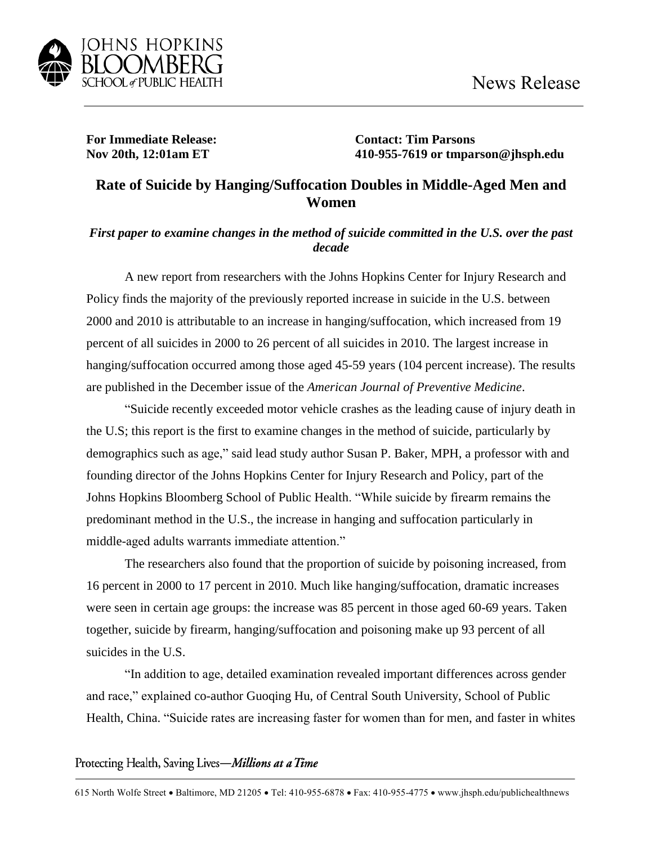

**For Immediate Release: Contact: Tim Parsons**

**Nov 20th, 12:01am ET 410-955-7619 or tmparson@jhsph.edu**

## **Rate of Suicide by Hanging/Suffocation Doubles in Middle-Aged Men and Women**

## *First paper to examine changes in the method of suicide committed in the U.S. over the past decade*

A new report from researchers with the Johns Hopkins Center for Injury Research and Policy finds the majority of the previously reported increase in suicide in the U.S. between 2000 and 2010 is attributable to an increase in hanging/suffocation, which increased from 19 percent of all suicides in 2000 to 26 percent of all suicides in 2010. The largest increase in hanging/suffocation occurred among those aged 45-59 years (104 percent increase). The results are published in the December issue of the *American Journal of Preventive Medicine*.

"Suicide recently exceeded motor vehicle crashes as the leading cause of injury death in the U.S; this report is the first to examine changes in the method of suicide, particularly by demographics such as age," said lead study author Susan P. Baker, MPH, a professor with and founding director of the Johns Hopkins Center for Injury Research and Policy, part of the Johns Hopkins Bloomberg School of Public Health. "While suicide by firearm remains the predominant method in the U.S., the increase in hanging and suffocation particularly in middle-aged adults warrants immediate attention."

The researchers also found that the proportion of suicide by poisoning increased, from 16 percent in 2000 to 17 percent in 2010. Much like hanging/suffocation, dramatic increases were seen in certain age groups: the increase was 85 percent in those aged 60-69 years. Taken together, suicide by firearm, hanging/suffocation and poisoning make up 93 percent of all suicides in the U.S.

"In addition to age, detailed examination revealed important differences across gender and race," explained co-author Guoqing Hu, of Central South University, School of Public Health, China. "Suicide rates are increasing faster for women than for men, and faster in whites

Protecting Health, Saving Lives-Millions at a Time